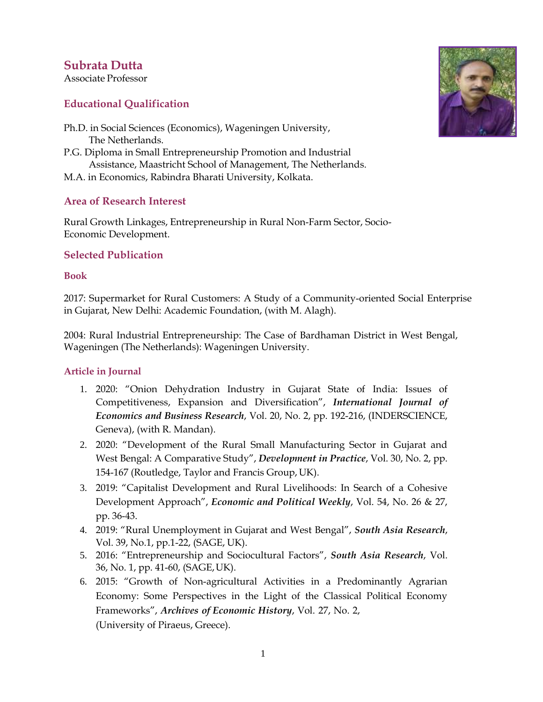# **Subrata Dutta**

Associate Professor

## **Educational Qualification**

- Ph.D. in Social Sciences (Economics), Wageningen University, The Netherlands.
- P.G. Diploma in Small Entrepreneurship Promotion and Industrial Assistance, Maastricht School of Management, The Netherlands.
- M.A. in Economics, Rabindra Bharati University, Kolkata.

## **Area of Research Interest**

Rural Growth Linkages, Entrepreneurship in Rural Non-Farm Sector, Socio-Economic Development.

## **Selected Publication**

#### **Book**

2017: Supermarket for Rural Customers: A Study of a Community-oriented Social Enterprise in Gujarat, New Delhi: Academic Foundation, (with M. Alagh).

2004: Rural Industrial Entrepreneurship: The Case of Bardhaman District in West Bengal, Wageningen (The Netherlands): Wageningen University.

#### **Article in Journal**

- 1. 2020: "Onion Dehydration Industry in Gujarat State of India: Issues of Competitiveness, Expansion and Diversification", *International Journal of Economics and Business Research*, Vol. 20, No. 2, pp. 192-216, (INDERSCIENCE, Geneva), (with R. Mandan).
- 2. 2020: "Development of the Rural Small Manufacturing Sector in Gujarat and West Bengal: A Comparative Study", *Development in Practice*, Vol. 30, No. 2, pp. 154-167 (Routledge, Taylor and Francis Group, UK).
- 3. 2019: "Capitalist Development and Rural Livelihoods: In Search of a Cohesive Development Approach", *Economic and Political Weekly*, Vol. 54, No. 26 & 27, pp. 36-43.
- 4. 2019: "Rural Unemployment in Gujarat and West Bengal", *South Asia Research*, Vol. 39, No.1, pp.1-22, (SAGE, UK).
- 5. 2016: "Entrepreneurship and Sociocultural Factors", *South Asia Research*, Vol. 36, No. 1, pp. 41-60, (SAGE,UK).
- 6. 2015: "Growth of Non-agricultural Activities in a Predominantly Agrarian Economy: Some Perspectives in the Light of the Classical Political Economy Frameworks", *Archives of Economic History*, Vol. 27, No. 2, (University of Piraeus, Greece).

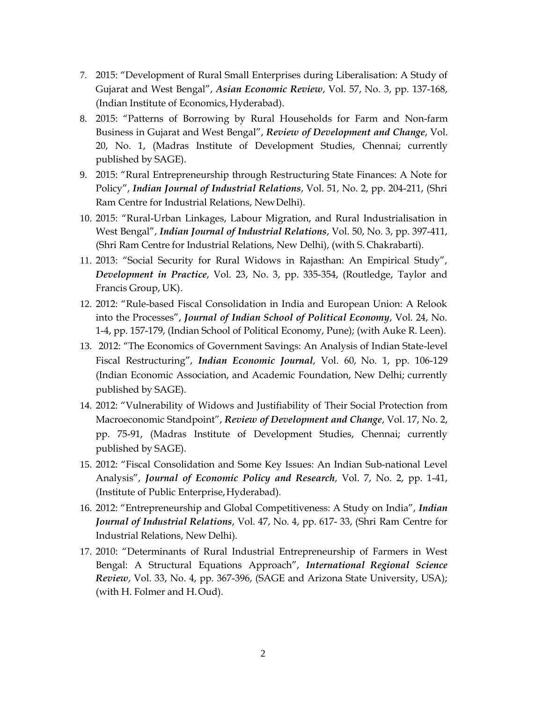- 7. 2015: "Development of Rural Small Enterprises during Liberalisation: A Study of Gujarat and West Bengal", *Asian Economic Review*, Vol. 57, No. 3, pp. 137-168, (Indian Institute of Economics, Hyderabad).
- 8. 2015: "Patterns of Borrowing by Rural Households for Farm and Non-farm Business in Gujarat and West Bengal", *Review of Development and Change*, Vol. 20, No. 1, (Madras Institute of Development Studies, Chennai; currently published by SAGE).
- 9. 2015: "Rural Entrepreneurship through Restructuring State Finances: A Note for Policy", *Indian Journal of Industrial Relations*, Vol. 51, No. 2, pp. 204-211, (Shri Ram Centre for Industrial Relations, NewDelhi).
- 10. 2015: "Rural-Urban Linkages, Labour Migration, and Rural Industrialisation in West Bengal", *Indian Journal of Industrial Relations*, Vol. 50, No. 3, pp. 397-411, (Shri Ram Centre for Industrial Relations, New Delhi), (with S. Chakrabarti).
- 11. 2013: "Social Security for Rural Widows in Rajasthan: An Empirical Study", *Development in Practice*, Vol. 23, No. 3, pp. 335-354, (Routledge, Taylor and Francis Group, UK).
- 12. 2012: "Rule-based Fiscal Consolidation in India and European Union: A Relook into the Processes", *Journal of Indian School of Political Economy*, Vol. 24, No. 1-4, pp. 157-179, (Indian School of Political Economy, Pune); (with Auke R. Leen).
- 13. 2012: "The Economics of Government Savings: An Analysis of Indian State-level Fiscal Restructuring", *Indian Economic Journal*, Vol. 60, No. 1, pp. 106-129 (Indian Economic Association, and Academic Foundation, New Delhi; currently published by SAGE).
- 14. 2012: "Vulnerability of Widows and Justifiability of Their Social Protection from Macroeconomic Standpoint", *Review of Development and Change*, Vol. 17, No. 2, pp. 75-91, (Madras Institute of Development Studies, Chennai; currently published by SAGE).
- 15. 2012: "Fiscal Consolidation and Some Key Issues: An Indian Sub-national Level Analysis", *Journal of Economic Policy and Research*, Vol. 7, No. 2, pp. 1-41, (Institute of Public Enterprise,Hyderabad).
- 16. 2012: "Entrepreneurship and Global Competitiveness: A Study on India", *Indian Journal of Industrial Relations*, Vol. 47, No. 4, pp. 617- 33, (Shri Ram Centre for Industrial Relations, New Delhi).
- 17. 2010: "Determinants of Rural Industrial Entrepreneurship of Farmers in West Bengal: A Structural Equations Approach", *International Regional Science Review*, Vol. 33, No. 4, pp. 367-396, (SAGE and Arizona State University, USA); (with H. Folmer and H.Oud).